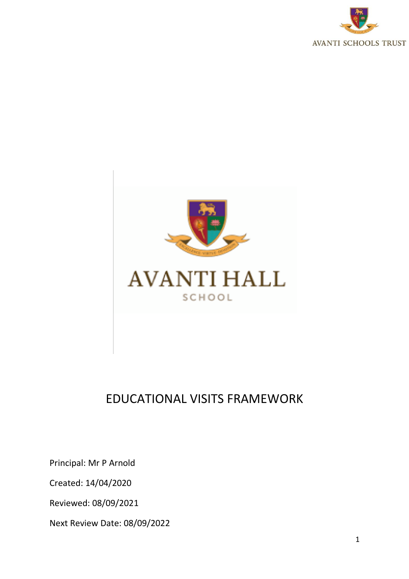



# EDUCATIONAL VISITS FRAMEWORK

Principal: Mr P Arnold

Created: 14/04/2020

Reviewed: 08/09/2021

Next Review Date: 08/09/2022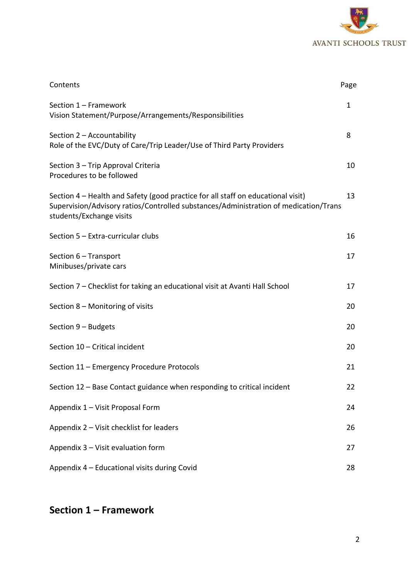

| Contents                                                                                                                                                                                             | Page         |
|------------------------------------------------------------------------------------------------------------------------------------------------------------------------------------------------------|--------------|
| Section 1 - Framework<br>Vision Statement/Purpose/Arrangements/Responsibilities                                                                                                                      | $\mathbf{1}$ |
| Section 2 - Accountability<br>Role of the EVC/Duty of Care/Trip Leader/Use of Third Party Providers                                                                                                  | 8            |
| Section 3 - Trip Approval Criteria<br>Procedures to be followed                                                                                                                                      | 10           |
| Section 4 – Health and Safety (good practice for all staff on educational visit)<br>Supervision/Advisory ratios/Controlled substances/Administration of medication/Trans<br>students/Exchange visits | 13           |
| Section 5 - Extra-curricular clubs                                                                                                                                                                   | 16           |
| Section 6 - Transport<br>Minibuses/private cars                                                                                                                                                      | 17           |
| Section 7 - Checklist for taking an educational visit at Avanti Hall School                                                                                                                          | 17           |
| Section 8 – Monitoring of visits                                                                                                                                                                     | 20           |
| Section 9 - Budgets                                                                                                                                                                                  | 20           |
| Section 10 - Critical incident                                                                                                                                                                       | 20           |
| Section 11 - Emergency Procedure Protocols                                                                                                                                                           | 21           |
| Section 12 - Base Contact guidance when responding to critical incident                                                                                                                              | 22           |
| Appendix 1 - Visit Proposal Form                                                                                                                                                                     | 24           |
| Appendix 2 - Visit checklist for leaders                                                                                                                                                             | 26           |
| Appendix 3 - Visit evaluation form                                                                                                                                                                   | 27           |
| Appendix 4 - Educational visits during Covid                                                                                                                                                         | 28           |

# **Section 1 – Framework**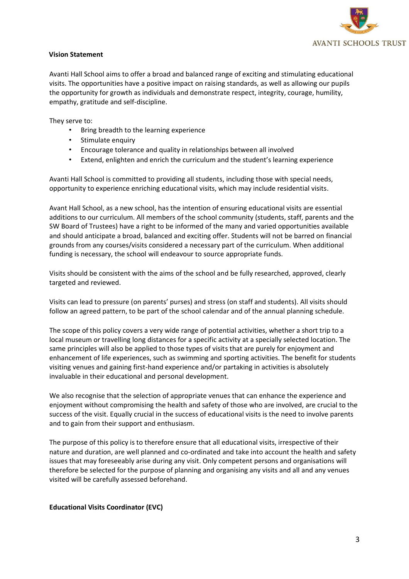

#### **Vision Statement**

Avanti Hall School aims to offer a broad and balanced range of exciting and stimulating educational visits. The opportunities have a positive impact on raising standards, as well as allowing our pupils the opportunity for growth as individuals and demonstrate respect, integrity, courage, humility, empathy, gratitude and self-discipline.

They serve to:

- Bring breadth to the learning experience
- Stimulate enquiry
- Encourage tolerance and quality in relationships between all involved
- Extend, enlighten and enrich the curriculum and the student's learning experience

Avanti Hall School is committed to providing all students, including those with special needs, opportunity to experience enriching educational visits, which may include residential visits.

Avant Hall School, as a new school, has the intention of ensuring educational visits are essential additions to our curriculum. All members of the school community (students, staff, parents and the SW Board of Trustees) have a right to be informed of the many and varied opportunities available and should anticipate a broad, balanced and exciting offer. Students will not be barred on financial grounds from any courses/visits considered a necessary part of the curriculum. When additional funding is necessary, the school will endeavour to source appropriate funds.

Visits should be consistent with the aims of the school and be fully researched, approved, clearly targeted and reviewed.

Visits can lead to pressure (on parents' purses) and stress (on staff and students). All visits should follow an agreed pattern, to be part of the school calendar and of the annual planning schedule.

The scope of this policy covers a very wide range of potential activities, whether a short trip to a local museum or travelling long distances for a specific activity at a specially selected location. The same principles will also be applied to those types of visits that are purely for enjoyment and enhancement of life experiences, such as swimming and sporting activities. The benefit for students visiting venues and gaining first-hand experience and/or partaking in activities is absolutely invaluable in their educational and personal development.

We also recognise that the selection of appropriate venues that can enhance the experience and enjoyment without compromising the health and safety of those who are involved, are crucial to the success of the visit. Equally crucial in the success of educational visits is the need to involve parents and to gain from their support and enthusiasm.

The purpose of this policy is to therefore ensure that all educational visits, irrespective of their nature and duration, are well planned and co-ordinated and take into account the health and safety issues that may foreseeably arise during any visit. Only competent persons and organisations will therefore be selected for the purpose of planning and organising any visits and all and any venues visited will be carefully assessed beforehand.

**Educational Visits Coordinator (EVC)**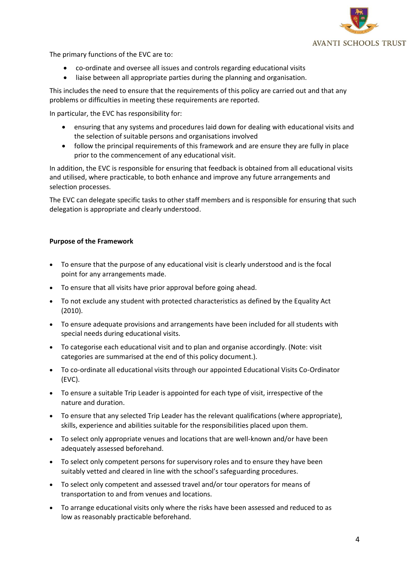

The primary functions of the EVC are to:

- co-ordinate and oversee all issues and controls regarding educational visits
- liaise between all appropriate parties during the planning and organisation.

This includes the need to ensure that the requirements of this policy are carried out and that any problems or difficulties in meeting these requirements are reported.

In particular, the EVC has responsibility for:

- ensuring that any systems and procedures laid down for dealing with educational visits and the selection of suitable persons and organisations involved
- follow the principal requirements of this framework and are ensure they are fully in place prior to the commencement of any educational visit.

In addition, the EVC is responsible for ensuring that feedback is obtained from all educational visits and utilised, where practicable, to both enhance and improve any future arrangements and selection processes.

The EVC can delegate specific tasks to other staff members and is responsible for ensuring that such delegation is appropriate and clearly understood.

#### **Purpose of the Framework**

- To ensure that the purpose of any educational visit is clearly understood and is the focal point for any arrangements made.
- To ensure that all visits have prior approval before going ahead.
- To not exclude any student with protected characteristics as defined by the Equality Act (2010).
- To ensure adequate provisions and arrangements have been included for all students with special needs during educational visits.
- To categorise each educational visit and to plan and organise accordingly. (Note: visit categories are summarised at the end of this policy document.).
- To co-ordinate all educational visits through our appointed Educational Visits Co-Ordinator (EVC).
- To ensure a suitable Trip Leader is appointed for each type of visit, irrespective of the nature and duration.
- To ensure that any selected Trip Leader has the relevant qualifications (where appropriate), skills, experience and abilities suitable for the responsibilities placed upon them.
- To select only appropriate venues and locations that are well-known and/or have been adequately assessed beforehand.
- To select only competent persons for supervisory roles and to ensure they have been suitably vetted and cleared in line with the school's safeguarding procedures.
- To select only competent and assessed travel and/or tour operators for means of transportation to and from venues and locations.
- To arrange educational visits only where the risks have been assessed and reduced to as low as reasonably practicable beforehand.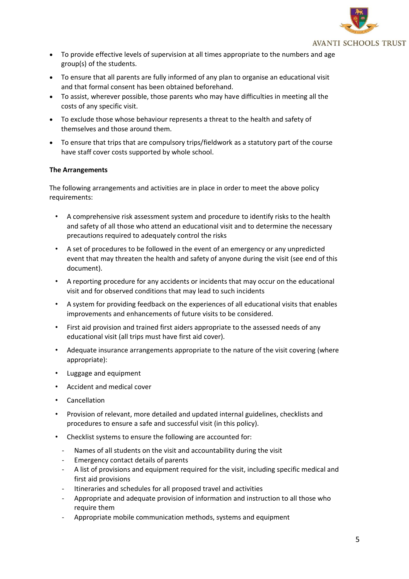

- To provide effective levels of supervision at all times appropriate to the numbers and age group(s) of the students.
- To ensure that all parents are fully informed of any plan to organise an educational visit and that formal consent has been obtained beforehand.
- To assist, wherever possible, those parents who may have difficulties in meeting all the costs of any specific visit.
- To exclude those whose behaviour represents a threat to the health and safety of themselves and those around them.
- To ensure that trips that are compulsory trips/fieldwork as a statutory part of the course have staff cover costs supported by whole school.

### **The Arrangements**

The following arrangements and activities are in place in order to meet the above policy requirements:

- A comprehensive risk assessment system and procedure to identify risks to the health and safety of all those who attend an educational visit and to determine the necessary precautions required to adequately control the risks
- A set of procedures to be followed in the event of an emergency or any unpredicted event that may threaten the health and safety of anyone during the visit (see end of this document).
- A reporting procedure for any accidents or incidents that may occur on the educational visit and for observed conditions that may lead to such incidents
- A system for providing feedback on the experiences of all educational visits that enables improvements and enhancements of future visits to be considered.
- First aid provision and trained first aiders appropriate to the assessed needs of any educational visit (all trips must have first aid cover).
- Adequate insurance arrangements appropriate to the nature of the visit covering (where appropriate):
- Luggage and equipment
- Accident and medical cover
- Cancellation
- Provision of relevant, more detailed and updated internal guidelines, checklists and procedures to ensure a safe and successful visit (in this policy).
- Checklist systems to ensure the following are accounted for:
	- Names of all students on the visit and accountability during the visit
	- Emergency contact details of parents
	- A list of provisions and equipment required for the visit, including specific medical and first aid provisions
	- Itineraries and schedules for all proposed travel and activities
	- Appropriate and adequate provision of information and instruction to all those who require them
	- Appropriate mobile communication methods, systems and equipment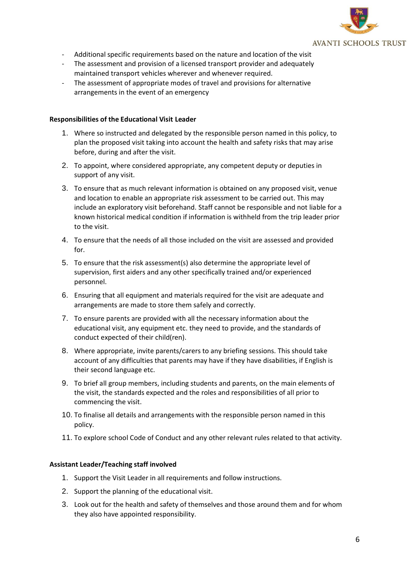

- Additional specific requirements based on the nature and location of the visit
- The assessment and provision of a licensed transport provider and adequately maintained transport vehicles wherever and whenever required.
- The assessment of appropriate modes of travel and provisions for alternative arrangements in the event of an emergency

#### **Responsibilities of the Educational Visit Leader**

- 1. Where so instructed and delegated by the responsible person named in this policy, to plan the proposed visit taking into account the health and safety risks that may arise before, during and after the visit.
- 2. To appoint, where considered appropriate, any competent deputy or deputies in support of any visit.
- 3. To ensure that as much relevant information is obtained on any proposed visit, venue and location to enable an appropriate risk assessment to be carried out. This may include an exploratory visit beforehand. Staff cannot be responsible and not liable for a known historical medical condition if information is withheld from the trip leader prior to the visit.
- 4. To ensure that the needs of all those included on the visit are assessed and provided for.
- 5. To ensure that the risk assessment(s) also determine the appropriate level of supervision, first aiders and any other specifically trained and/or experienced personnel.
- 6. Ensuring that all equipment and materials required for the visit are adequate and arrangements are made to store them safely and correctly.
- 7. To ensure parents are provided with all the necessary information about the educational visit, any equipment etc. they need to provide, and the standards of conduct expected of their child(ren).
- 8. Where appropriate, invite parents/carers to any briefing sessions. This should take account of any difficulties that parents may have if they have disabilities, if English is their second language etc.
- 9. To brief all group members, including students and parents, on the main elements of the visit, the standards expected and the roles and responsibilities of all prior to commencing the visit.
- 10. To finalise all details and arrangements with the responsible person named in this policy.
- 11. To explore school Code of Conduct and any other relevant rules related to that activity.

#### **Assistant Leader/Teaching staff involved**

- 1. Support the Visit Leader in all requirements and follow instructions.
- 2. Support the planning of the educational visit.
- 3. Look out for the health and safety of themselves and those around them and for whom they also have appointed responsibility.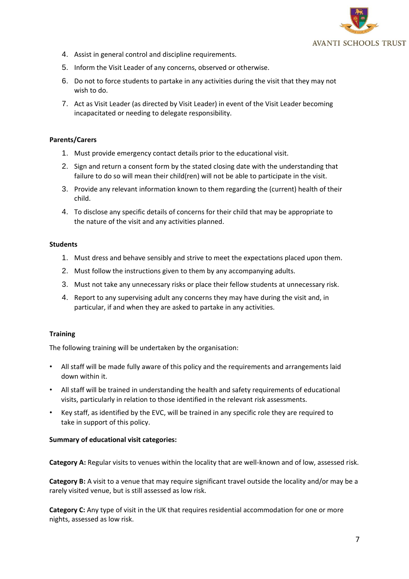

- 4. Assist in general control and discipline requirements.
- 5. Inform the Visit Leader of any concerns, observed or otherwise.
- 6. Do not to force students to partake in any activities during the visit that they may not wish to do.
- 7. Act as Visit Leader (as directed by Visit Leader) in event of the Visit Leader becoming incapacitated or needing to delegate responsibility.

#### **Parents/Carers**

- 1. Must provide emergency contact details prior to the educational visit.
- 2. Sign and return a consent form by the stated closing date with the understanding that failure to do so will mean their child(ren) will not be able to participate in the visit.
- 3. Provide any relevant information known to them regarding the (current) health of their child.
- 4. To disclose any specific details of concerns for their child that may be appropriate to the nature of the visit and any activities planned.

#### **Students**

- 1. Must dress and behave sensibly and strive to meet the expectations placed upon them.
- 2. Must follow the instructions given to them by any accompanying adults.
- 3. Must not take any unnecessary risks or place their fellow students at unnecessary risk.
- 4. Report to any supervising adult any concerns they may have during the visit and, in particular, if and when they are asked to partake in any activities.

#### **Training**

The following training will be undertaken by the organisation:

- All staff will be made fully aware of this policy and the requirements and arrangements laid down within it.
- All staff will be trained in understanding the health and safety requirements of educational visits, particularly in relation to those identified in the relevant risk assessments.
- Key staff, as identified by the EVC, will be trained in any specific role they are required to take in support of this policy.

#### **Summary of educational visit categories:**

**Category A:** Regular visits to venues within the locality that are well-known and of low, assessed risk.

**Category B:** A visit to a venue that may require significant travel outside the locality and/or may be a rarely visited venue, but is still assessed as low risk.

**Category C:** Any type of visit in the UK that requires residential accommodation for one or more nights, assessed as low risk.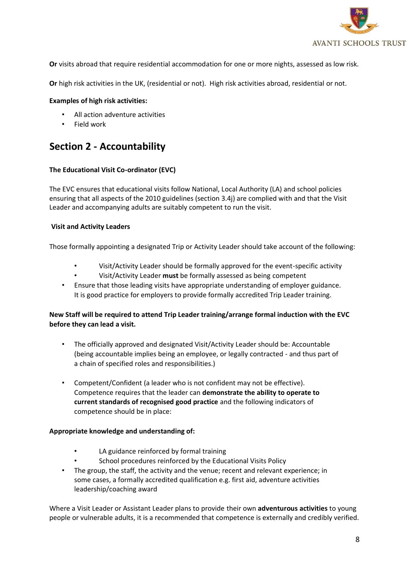

**Or** visits abroad that require residential accommodation for one or more nights, assessed as low risk.

**Or** high risk activities in the UK, (residential or not). High risk activities abroad, residential or not.

#### **Examples of high risk activities:**

- All action adventure activities
- Field work

## **Section 2 - Accountability**

### **The Educational Visit Co-ordinator (EVC)**

The EVC ensures that educational visits follow National, Local Authority (LA) and school policies ensuring that all aspects of the 2010 guidelines (section 3.4j) are complied with and that the Visit Leader and accompanying adults are suitably competent to run the visit.

### **Visit and Activity Leaders**

Those formally appointing a designated Trip or Activity Leader should take account of the following:

- Visit/Activity Leader should be formally approved for the event-specific activity
- Visit/Activity Leader **must** be formally assessed as being competent
- Ensure that those leading visits have appropriate understanding of employer guidance. It is good practice for employers to provide formally accredited Trip Leader training.

## **New Staff will be required to attend Trip Leader training/arrange formal induction with the EVC before they can lead a visit.**

- The officially approved and designated Visit/Activity Leader should be: Accountable (being accountable implies being an employee, or legally contracted - and thus part of a chain of specified roles and responsibilities.)
- Competent/Confident (a leader who is not confident may not be effective). Competence requires that the leader can **demonstrate the ability to operate to current standards of recognised good practice** and the following indicators of competence should be in place:

#### **Appropriate knowledge and understanding of:**

- LA guidance reinforced by formal training
- School procedures reinforced by the Educational Visits Policy
- The group, the staff, the activity and the venue; recent and relevant experience; in some cases, a formally accredited qualification e.g. first aid, adventure activities leadership/coaching award

Where a Visit Leader or Assistant Leader plans to provide their own **adventurous activities** to young people or vulnerable adults, it is a recommended that competence is externally and credibly verified.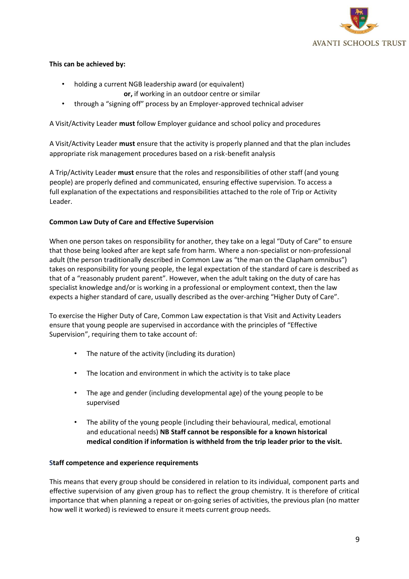

## **This can be achieved by:**

- holding a current NGB leadership award (or equivalent)
	- **or,** if working in an outdoor centre or similar
- through a "signing off" process by an Employer-approved technical adviser

A Visit/Activity Leader **must** follow Employer guidance and school policy and procedures

A Visit/Activity Leader **must** ensure that the activity is properly planned and that the plan includes appropriate risk management procedures based on a risk-benefit analysis

A Trip/Activity Leader **must** ensure that the roles and responsibilities of other staff (and young people) are properly defined and communicated, ensuring effective supervision. To access a full explanation of the expectations and responsibilities attached to the role of Trip or Activity Leader.

### **Common Law Duty of Care and Effective Supervision**

When one person takes on responsibility for another, they take on a legal "Duty of Care" to ensure that those being looked after are kept safe from harm. Where a non-specialist or non-professional adult (the person traditionally described in Common Law as "the man on the Clapham omnibus") takes on responsibility for young people, the legal expectation of the standard of care is described as that of a "reasonably prudent parent". However, when the adult taking on the duty of care has specialist knowledge and/or is working in a professional or employment context, then the law expects a higher standard of care, usually described as the over-arching "Higher Duty of Care".

To exercise the Higher Duty of Care, Common Law expectation is that Visit and Activity Leaders ensure that young people are supervised in accordance with the principles of "Effective Supervision", requiring them to take account of:

- The nature of the activity (including its duration)
- The location and environment in which the activity is to take place
- The age and gender (including developmental age) of the young people to be supervised
- The ability of the young people (including their behavioural, medical, emotional and educational needs) **NB Staff cannot be responsible for a known historical medical condition if information is withheld from the trip leader prior to the visit.**

#### **Staff competence and experience requirements**

This means that every group should be considered in relation to its individual, component parts and effective supervision of any given group has to reflect the group chemistry. It is therefore of critical importance that when planning a repeat or on-going series of activities, the previous plan (no matter how well it worked) is reviewed to ensure it meets current group needs.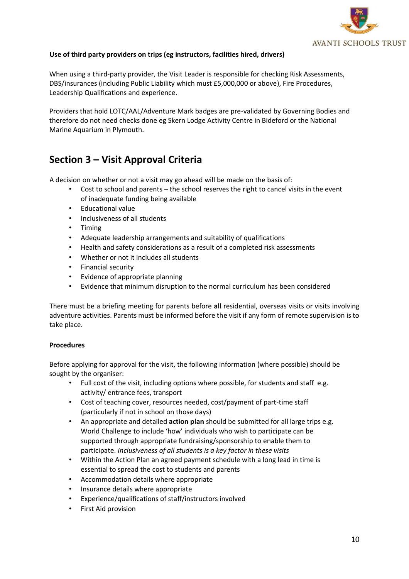

## **Use of third party providers on trips (eg instructors, facilities hired, drivers)**

When using a third-party provider, the Visit Leader is responsible for checking Risk Assessments, DBS/insurances (including Public Liability which must £5,000,000 or above), Fire Procedures, Leadership Qualifications and experience.

Providers that hold LOTC/AAL/Adventure Mark badges are pre-validated by Governing Bodies and therefore do not need checks done eg Skern Lodge Activity Centre in Bideford or the National Marine Aquarium in Plymouth.

## **Section 3 – Visit Approval Criteria**

A decision on whether or not a visit may go ahead will be made on the basis of:

- Cost to school and parents the school reserves the right to cancel visits in the event of inadequate funding being available
- Educational value
- Inclusiveness of all students
- Timing
- Adequate leadership arrangements and suitability of qualifications
- Health and safety considerations as a result of a completed risk assessments
- Whether or not it includes all students
- Financial security
- Evidence of appropriate planning
- Evidence that minimum disruption to the normal curriculum has been considered

There must be a briefing meeting for parents before **all** residential, overseas visits or visits involving adventure activities. Parents must be informed before the visit if any form of remote supervision is to take place.

#### **Procedures**

Before applying for approval for the visit, the following information (where possible) should be sought by the organiser:

- Full cost of the visit, including options where possible, for students and staff e.g. activity/ entrance fees, transport
- Cost of teaching cover, resources needed, cost/payment of part-time staff (particularly if not in school on those days)
- An appropriate and detailed **action plan** should be submitted for all large trips e.g. World Challenge to include 'how' individuals who wish to participate can be supported through appropriate fundraising/sponsorship to enable them to participate. *Inclusiveness of all students is a key factor in these visits*
- Within the Action Plan an agreed payment schedule with a long lead in time is essential to spread the cost to students and parents
- Accommodation details where appropriate
- Insurance details where appropriate
- Experience/qualifications of staff/instructors involved
- First Aid provision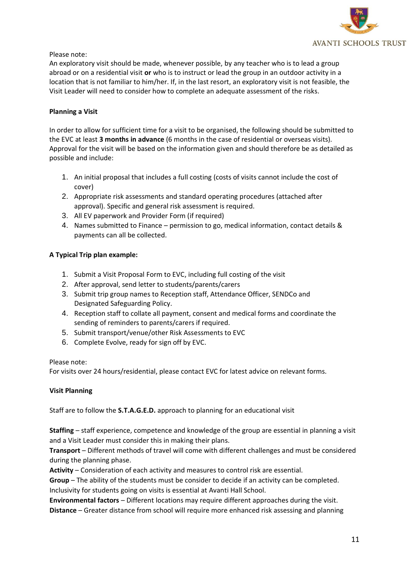

## Please note:

An exploratory visit should be made, whenever possible, by any teacher who is to lead a group abroad or on a residential visit **or** who is to instruct or lead the group in an outdoor activity in a location that is not familiar to him/her. If, in the last resort, an exploratory visit is not feasible, the Visit Leader will need to consider how to complete an adequate assessment of the risks.

### **Planning a Visit**

In order to allow for sufficient time for a visit to be organised, the following should be submitted to the EVC at least **3 months in advance** (6 months in the case of residential or overseas visits). Approval for the visit will be based on the information given and should therefore be as detailed as possible and include:

- 1. An initial proposal that includes a full costing (costs of visits cannot include the cost of cover)
- 2. Appropriate risk assessments and standard operating procedures (attached after approval). Specific and general risk assessment is required.
- 3. All EV paperwork and Provider Form (if required)
- 4. Names submitted to Finance permission to go, medical information, contact details & payments can all be collected.

## **A Typical Trip plan example:**

- 1. Submit a Visit Proposal Form to EVC, including full costing of the visit
- 2. After approval, send letter to students/parents/carers
- 3. Submit trip group names to Reception staff, Attendance Officer, SENDCo and Designated Safeguarding Policy.
- 4. Reception staff to collate all payment, consent and medical forms and coordinate the sending of reminders to parents/carers if required.
- 5. Submit transport/venue/other Risk Assessments to EVC
- 6. Complete Evolve, ready for sign off by EVC.

#### Please note:

For visits over 24 hours/residential, please contact EVC for latest advice on relevant forms.

## **Visit Planning**

Staff are to follow the **S.T.A.G.E.D.** approach to planning for an educational visit

**Staffing** – staff experience, competence and knowledge of the group are essential in planning a visit and a Visit Leader must consider this in making their plans.

**Transport** – Different methods of travel will come with different challenges and must be considered during the planning phase.

**Activity** – Consideration of each activity and measures to control risk are essential.

**Group** – The ability of the students must be consider to decide if an activity can be completed. Inclusivity for students going on visits is essential at Avanti Hall School.

**Environmental factors** – Different locations may require different approaches during the visit. **Distance** – Greater distance from school will require more enhanced risk assessing and planning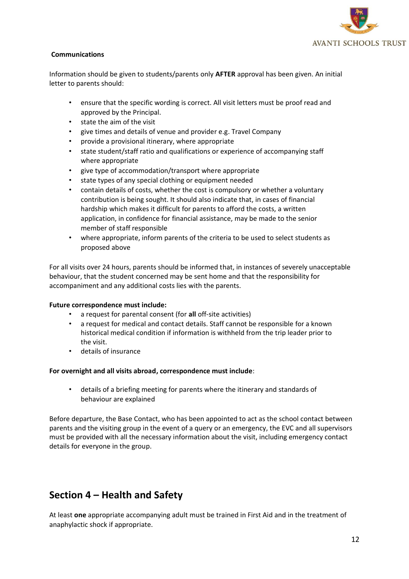

## **Communications**

Information should be given to students/parents only **AFTER** approval has been given. An initial letter to parents should:

- ensure that the specific wording is correct. All visit letters must be proof read and approved by the Principal.
- state the aim of the visit
- give times and details of venue and provider e.g. Travel Company
- provide a provisional itinerary, where appropriate
- state student/staff ratio and qualifications or experience of accompanying staff where appropriate
- give type of accommodation/transport where appropriate
- state types of any special clothing or equipment needed
- contain details of costs, whether the cost is compulsory or whether a voluntary contribution is being sought. It should also indicate that, in cases of financial hardship which makes it difficult for parents to afford the costs, a written application, in confidence for financial assistance, may be made to the senior member of staff responsible
- where appropriate, inform parents of the criteria to be used to select students as proposed above

For all visits over 24 hours, parents should be informed that, in instances of severely unacceptable behaviour, that the student concerned may be sent home and that the responsibility for accompaniment and any additional costs lies with the parents.

#### **Future correspondence must include:**

- a request for parental consent (for **all** off-site activities)
- a request for medical and contact details. Staff cannot be responsible for a known historical medical condition if information is withheld from the trip leader prior to the visit.
- details of insurance

#### **For overnight and all visits abroad, correspondence must include**:

• details of a briefing meeting for parents where the itinerary and standards of behaviour are explained

Before departure, the Base Contact, who has been appointed to act as the school contact between parents and the visiting group in the event of a query or an emergency, the EVC and all supervisors must be provided with all the necessary information about the visit, including emergency contact details for everyone in the group.

## **Section 4 – Health and Safety**

At least **one** appropriate accompanying adult must be trained in First Aid and in the treatment of anaphylactic shock if appropriate.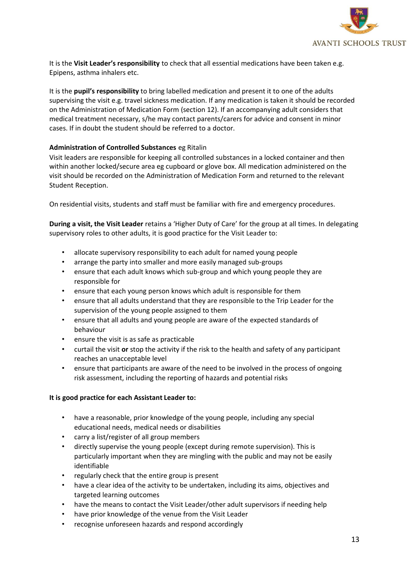

It is the **Visit Leader's responsibility** to check that all essential medications have been taken e.g. Epipens, asthma inhalers etc.

It is the **pupil's responsibility** to bring labelled medication and present it to one of the adults supervising the visit e.g. travel sickness medication. If any medication is taken it should be recorded on the Administration of Medication Form (section 12). If an accompanying adult considers that medical treatment necessary, s/he may contact parents/carers for advice and consent in minor cases. If in doubt the student should be referred to a doctor.

## **Administration of Controlled Substances** eg Ritalin

Visit leaders are responsible for keeping all controlled substances in a locked container and then within another locked/secure area eg cupboard or glove box. All medication administered on the visit should be recorded on the Administration of Medication Form and returned to the relevant Student Reception.

On residential visits, students and staff must be familiar with fire and emergency procedures.

**During a visit, the Visit Leader** retains a 'Higher Duty of Care' for the group at all times. In delegating supervisory roles to other adults, it is good practice for the Visit Leader to:

- allocate supervisory responsibility to each adult for named young people
- arrange the party into smaller and more easily managed sub-groups
- ensure that each adult knows which sub-group and which young people they are responsible for
- ensure that each young person knows which adult is responsible for them
- ensure that all adults understand that they are responsible to the Trip Leader for the supervision of the young people assigned to them
- ensure that all adults and young people are aware of the expected standards of behaviour
- ensure the visit is as safe as practicable
- curtail the visit **or** stop the activity if the risk to the health and safety of any participant reaches an unacceptable level
- ensure that participants are aware of the need to be involved in the process of ongoing risk assessment, including the reporting of hazards and potential risks

#### **It is good practice for each Assistant Leader to:**

- have a reasonable, prior knowledge of the young people, including any special educational needs, medical needs or disabilities
- carry a list/register of all group members
- directly supervise the young people (except during remote supervision). This is particularly important when they are mingling with the public and may not be easily identifiable
- regularly check that the entire group is present
- have a clear idea of the activity to be undertaken, including its aims, objectives and targeted learning outcomes
- have the means to contact the Visit Leader/other adult supervisors if needing help
- have prior knowledge of the venue from the Visit Leader
- recognise unforeseen hazards and respond accordingly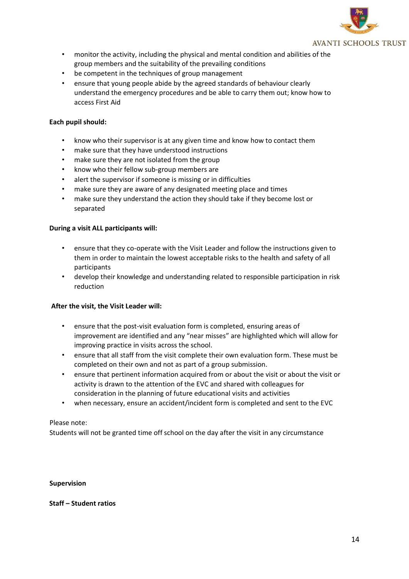

- monitor the activity, including the physical and mental condition and abilities of the group members and the suitability of the prevailing conditions
- be competent in the techniques of group management
- ensure that young people abide by the agreed standards of behaviour clearly understand the emergency procedures and be able to carry them out; know how to access First Aid

## **Each pupil should:**

- know who their supervisor is at any given time and know how to contact them
- make sure that they have understood instructions
- make sure they are not isolated from the group
- know who their fellow sub-group members are
- alert the supervisor if someone is missing or in difficulties
- make sure they are aware of any designated meeting place and times
- make sure they understand the action they should take if they become lost or separated

#### **During a visit ALL participants will:**

- ensure that they co-operate with the Visit Leader and follow the instructions given to them in order to maintain the lowest acceptable risks to the health and safety of all participants
- develop their knowledge and understanding related to responsible participation in risk reduction

#### **After the visit, the Visit Leader will:**

- ensure that the post-visit evaluation form is completed, ensuring areas of improvement are identified and any "near misses" are highlighted which will allow for improving practice in visits across the school.
- ensure that all staff from the visit complete their own evaluation form. These must be completed on their own and not as part of a group submission.
- ensure that pertinent information acquired from or about the visit or about the visit or activity is drawn to the attention of the EVC and shared with colleagues for consideration in the planning of future educational visits and activities
- when necessary, ensure an accident/incident form is completed and sent to the EVC

#### Please note:

Students will not be granted time off school on the day after the visit in any circumstance

#### **Supervision**

#### **Staff – Student ratios**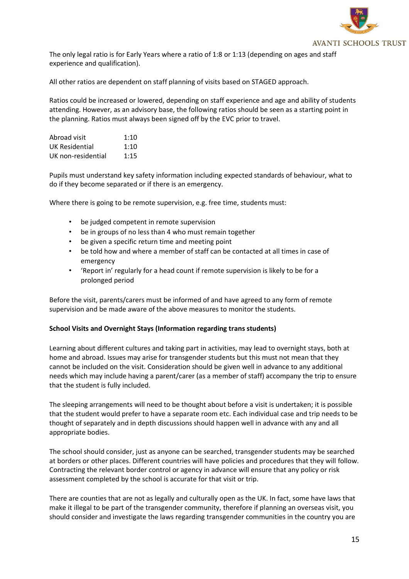

The only legal ratio is for Early Years where a ratio of 1:8 or 1:13 (depending on ages and staff experience and qualification).

All other ratios are dependent on staff planning of visits based on STAGED approach.

Ratios could be increased or lowered, depending on staff experience and age and ability of students attending. However, as an advisory base, the following ratios should be seen as a starting point in the planning. Ratios must always been signed off by the EVC prior to travel.

| Abroad visit       | 1:10 |
|--------------------|------|
| UK Residential     | 1:10 |
| UK non-residential | 1:15 |

Pupils must understand key safety information including expected standards of behaviour, what to do if they become separated or if there is an emergency.

Where there is going to be remote supervision, e.g. free time, students must:

- be judged competent in remote supervision
- be in groups of no less than 4 who must remain together
- be given a specific return time and meeting point
- be told how and where a member of staff can be contacted at all times in case of emergency
- 'Report in' regularly for a head count if remote supervision is likely to be for a prolonged period

Before the visit, parents/carers must be informed of and have agreed to any form of remote supervision and be made aware of the above measures to monitor the students.

#### **School Visits and Overnight Stays (Information regarding trans students)**

Learning about different cultures and taking part in activities, may lead to overnight stays, both at home and abroad. Issues may arise for transgender students but this must not mean that they cannot be included on the visit. Consideration should be given well in advance to any additional needs which may include having a parent/carer (as a member of staff) accompany the trip to ensure that the student is fully included.

The sleeping arrangements will need to be thought about before a visit is undertaken; it is possible that the student would prefer to have a separate room etc. Each individual case and trip needs to be thought of separately and in depth discussions should happen well in advance with any and all appropriate bodies.

The school should consider, just as anyone can be searched, transgender students may be searched at borders or other places. Different countries will have policies and procedures that they will follow. Contracting the relevant border control or agency in advance will ensure that any policy or risk assessment completed by the school is accurate for that visit or trip.

There are counties that are not as legally and culturally open as the UK. In fact, some have laws that make it illegal to be part of the transgender community, therefore if planning an overseas visit, you should consider and investigate the laws regarding transgender communities in the country you are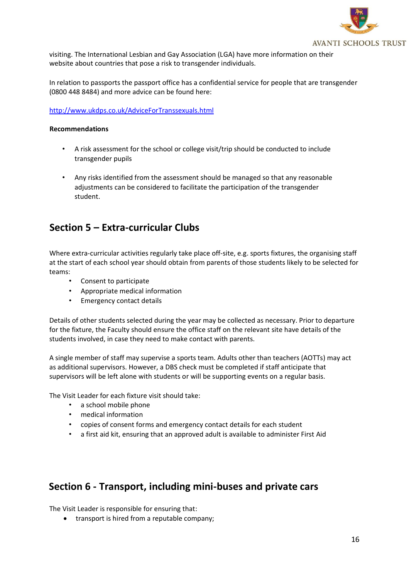

visiting. The International Lesbian and Gay Association (LGA) have more information on their website about countries that pose a risk to transgender individuals.

In relation to passports the passport office has a confidential service for people that are transgender (0800 448 8484) and more advice can be found here:

#### <http://www.ukdps.co.uk/AdviceForTranssexuals.html>

#### **Recommendations**

- A risk assessment for the school or college visit/trip should be conducted to include transgender pupils
- Any risks identified from the assessment should be managed so that any reasonable adjustments can be considered to facilitate the participation of the transgender student.

## **Section 5 – Extra-curricular Clubs**

Where extra-curricular activities regularly take place off-site, e.g. sports fixtures, the organising staff at the start of each school year should obtain from parents of those students likely to be selected for teams:

- Consent to participate
- Appropriate medical information
- Emergency contact details

Details of other students selected during the year may be collected as necessary. Prior to departure for the fixture, the Faculty should ensure the office staff on the relevant site have details of the students involved, in case they need to make contact with parents.

A single member of staff may supervise a sports team. Adults other than teachers (AOTTs) may act as additional supervisors. However, a DBS check must be completed if staff anticipate that supervisors will be left alone with students or will be supporting events on a regular basis.

The Visit Leader for each fixture visit should take:

- a school mobile phone
- medical information
- copies of consent forms and emergency contact details for each student
- a first aid kit, ensuring that an approved adult is available to administer First Aid

## **Section 6 - Transport, including mini-buses and private cars**

The Visit Leader is responsible for ensuring that:

• transport is hired from a reputable company;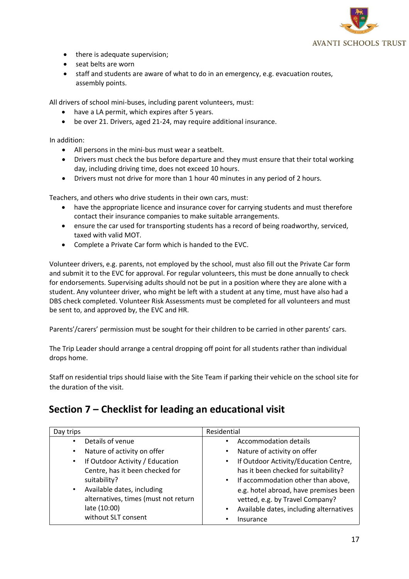

- there is adequate supervision;
- seat belts are worn
- staff and students are aware of what to do in an emergency, e.g. evacuation routes, assembly points.

All drivers of school mini-buses, including parent volunteers, must:

- have a LA permit, which expires after 5 years.
- be over 21. Drivers, aged 21-24, may require additional insurance.

In addition:

- All persons in the mini-bus must wear a seatbelt.
- Drivers must check the bus before departure and they must ensure that their total working day, including driving time, does not exceed 10 hours.
- Drivers must not drive for more than 1 hour 40 minutes in any period of 2 hours.

Teachers, and others who drive students in their own cars, must:

- have the appropriate licence and insurance cover for carrying students and must therefore contact their insurance companies to make suitable arrangements.
- ensure the car used for transporting students has a record of being roadworthy, serviced, taxed with valid MOT.
- Complete a Private Car form which is handed to the EVC.

Volunteer drivers, e.g. parents, not employed by the school, must also fill out the Private Car form and submit it to the EVC for approval. For regular volunteers, this must be done annually to check for endorsements. Supervising adults should not be put in a position where they are alone with a student. Any volunteer driver, who might be left with a student at any time, must have also had a DBS check completed. Volunteer Risk Assessments must be completed for all volunteers and must be sent to, and approved by, the EVC and HR.

Parents'/carers' permission must be sought for their children to be carried in other parents' cars.

The Trip Leader should arrange a central dropping off point for all students rather than individual drops home.

Staff on residential trips should liaise with the Site Team if parking their vehicle on the school site for the duration of the visit.

## **Section 7 – Checklist for leading an educational visit**

| Day trips                                    | Residential                                          |
|----------------------------------------------|------------------------------------------------------|
| Details of venue<br>٠                        | Accommodation details                                |
| Nature of activity on offer<br>$\bullet$     | Nature of activity on offer<br>$\bullet$             |
| If Outdoor Activity / Education<br>$\bullet$ | If Outdoor Activity/Education Centre,<br>$\bullet$   |
| Centre, has it been checked for              | has it been checked for suitability?                 |
| suitability?                                 | If accommodation other than above,<br>$\bullet$      |
| Available dates, including<br>$\bullet$      | e.g. hotel abroad, have premises been                |
| alternatives, times (must not return         | vetted, e.g. by Travel Company?                      |
| late (10:00)                                 | Available dates, including alternatives<br>$\bullet$ |
| without SLT consent                          | Insurance                                            |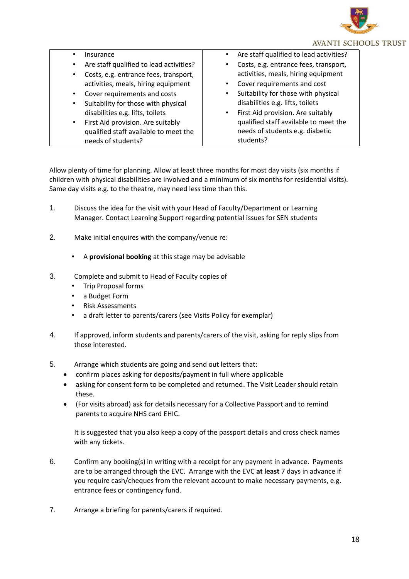

| Insurance                               | • Are staff qualified to lead activities? |
|-----------------------------------------|-------------------------------------------|
| Are staff qualified to lead activities? | • Costs, e.g. entrance fees, transport,   |
| Costs, e.g. entrance fees, transport,   | activities, meals, hiring equipment       |
| activities, meals, hiring equipment     | • Cover requirements and cost             |
| Cover requirements and costs            | • Suitability for those with physical     |
| Suitability for those with physical     | disabilities e.g. lifts, toilets          |
| disabilities e.g. lifts, toilets        | • First Aid provision. Are suitably       |
| First Aid provision. Are suitably       | qualified staff available to meet the     |
| qualified staff available to meet the   | needs of students e.g. diabetic           |
| needs of students?                      | students?                                 |

Allow plenty of time for planning. Allow at least three months for most day visits (six months if children with physical disabilities are involved and a minimum of six months for residential visits). Same day visits e.g. to the theatre, may need less time than this.

- 1. Discuss the idea for the visit with your Head of Faculty/Department or Learning Manager. Contact Learning Support regarding potential issues for SEN students
- 2. Make initial enquires with the company/venue re:
	- A **provisional booking** at this stage may be advisable
- 3. Complete and submit to Head of Faculty copies of
	- Trip Proposal forms
	- a Budget Form
	- Risk Assessments
	- a draft letter to parents/carers (see Visits Policy for exemplar)
- 4. If approved, inform students and parents/carers of the visit, asking for reply slips from those interested.
- 5. Arrange which students are going and send out letters that:
	- confirm places asking for deposits/payment in full where applicable
	- asking for consent form to be completed and returned. The Visit Leader should retain these.
	- (For visits abroad) ask for details necessary for a Collective Passport and to remind parents to acquire NHS card EHIC.

It is suggested that you also keep a copy of the passport details and cross check names with any tickets.

- 6. Confirm any booking(s) in writing with a receipt for any payment in advance. Payments are to be arranged through the EVC. Arrange with the EVC **at least** 7 days in advance if you require cash/cheques from the relevant account to make necessary payments, e.g. entrance fees or contingency fund.
- 7. Arrange a briefing for parents/carers if required.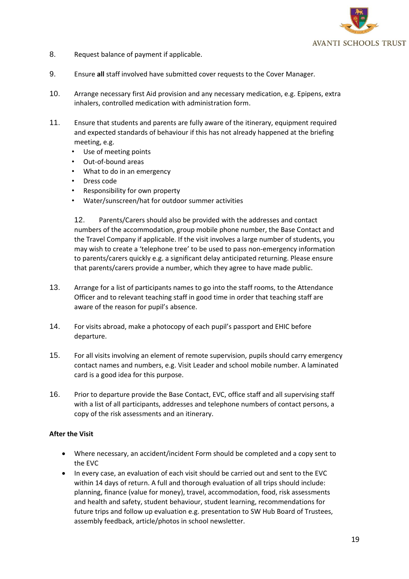

- 8. Request balance of payment if applicable.
- 9. Ensure **all** staff involved have submitted cover requests to the Cover Manager.
- 10. Arrange necessary first Aid provision and any necessary medication, e.g. Epipens, extra inhalers, controlled medication with administration form.
- 11. Ensure that students and parents are fully aware of the itinerary, equipment required and expected standards of behaviour if this has not already happened at the briefing meeting, e.g.
	- Use of meeting points
	- Out-of-bound areas
	- What to do in an emergency
	- Dress code
	- Responsibility for own property
	- Water/sunscreen/hat for outdoor summer activities

12. Parents/Carers should also be provided with the addresses and contact numbers of the accommodation, group mobile phone number, the Base Contact and the Travel Company if applicable. If the visit involves a large number of students, you may wish to create a 'telephone tree' to be used to pass non-emergency information to parents/carers quickly e.g. a significant delay anticipated returning. Please ensure that parents/carers provide a number, which they agree to have made public.

- 13. Arrange for a list of participants names to go into the staff rooms, to the Attendance Officer and to relevant teaching staff in good time in order that teaching staff are aware of the reason for pupil's absence.
- 14. For visits abroad, make a photocopy of each pupil's passport and EHIC before departure.
- 15. For all visits involving an element of remote supervision, pupils should carry emergency contact names and numbers, e.g. Visit Leader and school mobile number. A laminated card is a good idea for this purpose.
- 16. Prior to departure provide the Base Contact, EVC, office staff and all supervising staff with a list of all participants, addresses and telephone numbers of contact persons, a copy of the risk assessments and an itinerary.

### **After the Visit**

- Where necessary, an accident/incident Form should be completed and a copy sent to the EVC
- In every case, an evaluation of each visit should be carried out and sent to the EVC within 14 days of return. A full and thorough evaluation of all trips should include: planning, finance (value for money), travel, accommodation, food, risk assessments and health and safety, student behaviour, student learning, recommendations for future trips and follow up evaluation e.g. presentation to SW Hub Board of Trustees, assembly feedback, article/photos in school newsletter.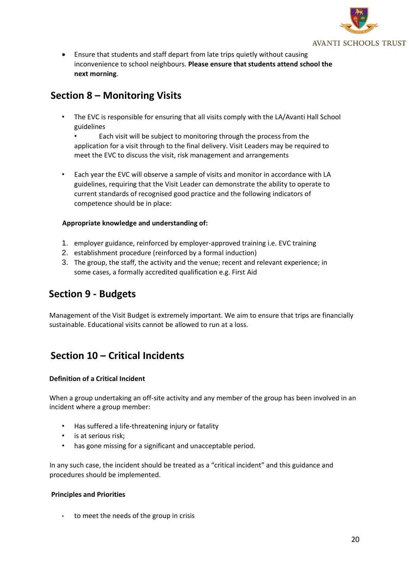

• Ensure that students and staff depart from late trips quietly without causing inconvenience to school neighbours. **Please ensure that students attend school the next morning**.

## **Section 8 – Monitoring Visits**

• The EVC is responsible for ensuring that all visits comply with the LA/Avanti Hall School guidelines

• Each visit will be subject to monitoring through the process from the application for a visit through to the final delivery. Visit Leaders may be required to meet the EVC to discuss the visit, risk management and arrangements

• Each year the EVC will observe a sample of visits and monitor in accordance with LA guidelines, requiring that the Visit Leader can demonstrate the ability to operate to current standards of recognised good practice and the following indicators of competence should be in place:

## **Appropriate knowledge and understanding of:**

- 1. employer guidance, reinforced by employer-approved training i.e. EVC training
- 2. establishment procedure (reinforced by a formal induction)
- 3. The group, the staff, the activity and the venue; recent and relevant experience; in some cases, a formally accredited qualification e.g. First Aid

## **Section 9 - Budgets**

Management of the Visit Budget is extremely important. We aim to ensure that trips are financially sustainable. Educational visits cannot be allowed to run at a loss.

## **Section 10 – Critical Incidents**

## **Definition of a Critical Incident**

When a group undertaking an off-site activity and any member of the group has been involved in an incident where a group member:

- Has suffered a life-threatening injury or fatality
- is at serious risk;
- has gone missing for a significant and unacceptable period.

In any such case, the incident should be treated as a "critical incident" and this guidance and procedures should be implemented.

#### **Principles and Priorities**

• to meet the needs of the group in crisis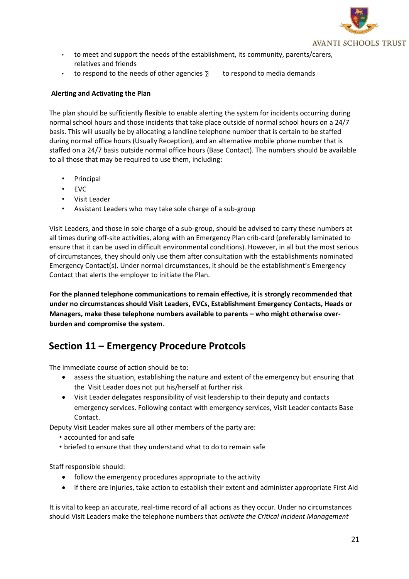

- to meet and support the needs of the establishment, its community, parents/carers, relatives and friends
- to respond to the needs of other agencies  $\mathbb{R}$  to respond to media demands

## **Alerting and Activating the Plan**

The plan should be sufficiently flexible to enable alerting the system for incidents occurring during normal school hours and those incidents that take place outside of normal school hours on a 24/7 basis. This will usually be by allocating a landline telephone number that is certain to be staffed during normal office hours (Usually Reception), and an alternative mobile phone number that is staffed on a 24/7 basis outside normal office hours (Base Contact). The numbers should be available to all those that may be required to use them, including:

- **Principal**
- EVC
- Visit Leader
- Assistant Leaders who may take sole charge of a sub-group

Visit Leaders, and those in sole charge of a sub-group, should be advised to carry these numbers at all times during off-site activities, along with an Emergency Plan crib-card (preferably laminated to ensure that it can be used in difficult environmental conditions). However, in all but the most serious of circumstances, they should only use them after consultation with the establishments nominated Emergency Contact(s). Under normal circumstances, it should be the establishment's Emergency Contact that alerts the employer to initiate the Plan.

**For the planned telephone communications to remain effective, it is strongly recommended that under no circumstances should Visit Leaders, EVCs, Establishment Emergency Contacts, Heads or Managers, make these telephone numbers available to parents – who might otherwise overburden and compromise the system.**

## **Section 11 – Emergency Procedure Protcols**

The immediate course of action should be to:

- assess the situation, establishing the nature and extent of the emergency but ensuring that the Visit Leader does not put his/herself at further risk
- Visit Leader delegates responsibility of visit leadership to their deputy and contacts emergency services. Following contact with emergency services, Visit Leader contacts Base Contact.

Deputy Visit Leader makes sure all other members of the party are:

- accounted for and safe
- briefed to ensure that they understand what to do to remain safe

Staff responsible should:

- follow the emergency procedures appropriate to the activity
- if there are injuries, take action to establish their extent and administer appropriate First Aid

It is vital to keep an accurate, real-time record of all actions as they occur. Under no circumstances should Visit Leaders make the telephone numbers that *activate the Critical Incident Management*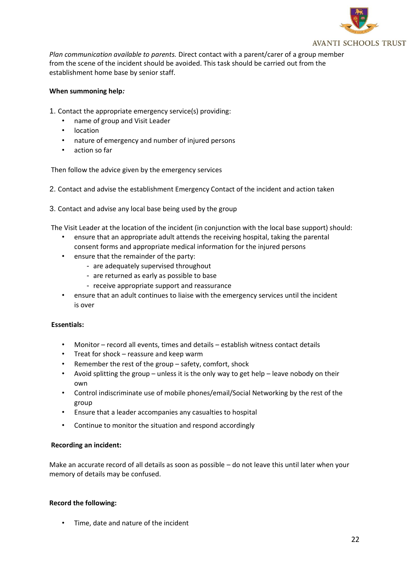

*Plan communication available to parents.* Direct contact with a parent/carer of a group member from the scene of the incident should be avoided. This task should be carried out from the establishment home base by senior staff.

### **When summoning help***:*

- 1. Contact the appropriate emergency service(s) providing:
	- name of group and Visit Leader
	- location
	- nature of emergency and number of injured persons
	- action so far

Then follow the advice given by the emergency services

- 2. Contact and advise the establishment Emergency Contact of the incident and action taken
- 3. Contact and advise any local base being used by the group

The Visit Leader at the location of the incident (in conjunction with the local base support) should:

- ensure that an appropriate adult attends the receiving hospital, taking the parental consent forms and appropriate medical information for the injured persons
- ensure that the remainder of the party:
	- are adequately supervised throughout
	- are returned as early as possible to base
	- receive appropriate support and reassurance
- ensure that an adult continues to liaise with the emergency services until the incident is over

#### **Essentials:**

- Monitor record all events, times and details establish witness contact details
- Treat for shock reassure and keep warm
- Remember the rest of the group safety, comfort, shock
- Avoid splitting the group unless it is the only way to get help leave nobody on their own
- Control indiscriminate use of mobile phones/email/Social Networking by the rest of the group
- Ensure that a leader accompanies any casualties to hospital
- Continue to monitor the situation and respond accordingly

#### **Recording an incident:**

Make an accurate record of all details as soon as possible – do not leave this until later when your memory of details may be confused.

#### **Record the following:**

• Time, date and nature of the incident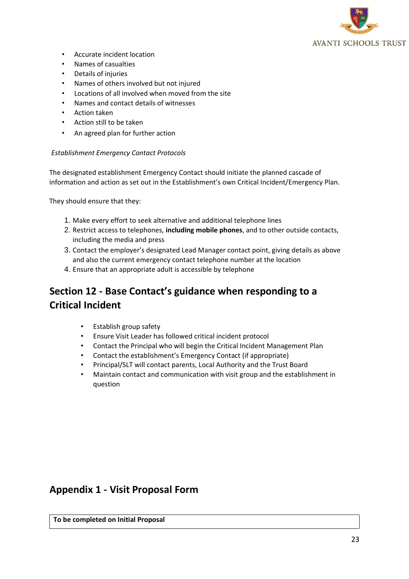

- Accurate incident location
- Names of casualties
- Details of injuries
- Names of others involved but not injured
- Locations of all involved when moved from the site
- Names and contact details of witnesses
- Action taken
- Action still to be taken
- An agreed plan for further action

#### *Establishment Emergency Contact Protocols*

The designated establishment Emergency Contact should initiate the planned cascade of information and action as set out in the Establishment's own Critical Incident/Emergency Plan.

They should ensure that they:

- 1. Make every effort to seek alternative and additional telephone lines
- 2. Restrict access to telephones, **including mobile phones**, and to other outside contacts, including the media and press
- 3. Contact the employer's designated Lead Manager contact point, giving details as above and also the current emergency contact telephone number at the location
- 4. Ensure that an appropriate adult is accessible by telephone

## **Section 12 - Base Contact's guidance when responding to a Critical Incident**

- Establish group safety
- Ensure Visit Leader has followed critical incident protocol
- Contact the Principal who will begin the Critical Incident Management Plan
- Contact the establishment's Emergency Contact (if appropriate)
- Principal/SLT will contact parents, Local Authority and the Trust Board
- Maintain contact and communication with visit group and the establishment in question

## **Appendix 1 - Visit Proposal Form**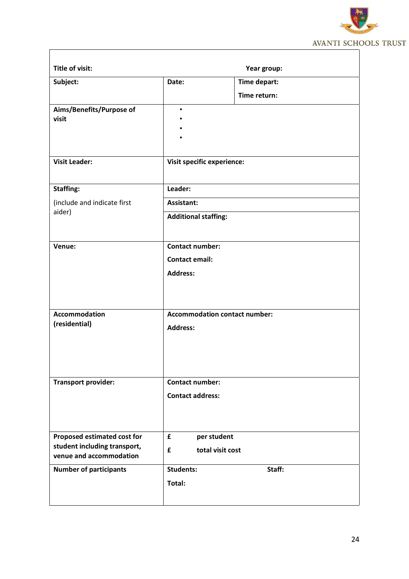

|                               |                                   | Year group:                          |  |
|-------------------------------|-----------------------------------|--------------------------------------|--|
| Subject:                      | Date:                             | Time depart:                         |  |
|                               |                                   | Time return:                         |  |
| Aims/Benefits/Purpose of      | $\bullet$                         |                                      |  |
| visit                         |                                   |                                      |  |
|                               |                                   |                                      |  |
|                               |                                   |                                      |  |
| <b>Visit Leader:</b>          | <b>Visit specific experience:</b> |                                      |  |
|                               |                                   |                                      |  |
| <b>Staffing:</b>              | Leader:                           |                                      |  |
| (include and indicate first   | Assistant:                        |                                      |  |
| aider)                        |                                   |                                      |  |
|                               | <b>Additional staffing:</b>       |                                      |  |
|                               |                                   |                                      |  |
| Venue:                        |                                   | <b>Contact number:</b>               |  |
|                               | <b>Contact email:</b>             |                                      |  |
|                               | <b>Address:</b>                   |                                      |  |
|                               |                                   |                                      |  |
|                               |                                   |                                      |  |
| <b>Accommodation</b>          |                                   | <b>Accommodation contact number:</b> |  |
| (residential)                 |                                   |                                      |  |
|                               | <b>Address:</b>                   |                                      |  |
|                               |                                   |                                      |  |
|                               |                                   |                                      |  |
|                               |                                   |                                      |  |
| <b>Transport provider:</b>    | <b>Contact number:</b>            |                                      |  |
|                               | <b>Contact address:</b>           |                                      |  |
|                               |                                   |                                      |  |
|                               |                                   |                                      |  |
| Proposed estimated cost for   | £                                 | per student                          |  |
| student including transport,  | £                                 | total visit cost                     |  |
| venue and accommodation       |                                   |                                      |  |
|                               | <b>Students:</b>                  | Staff:                               |  |
| <b>Number of participants</b> |                                   |                                      |  |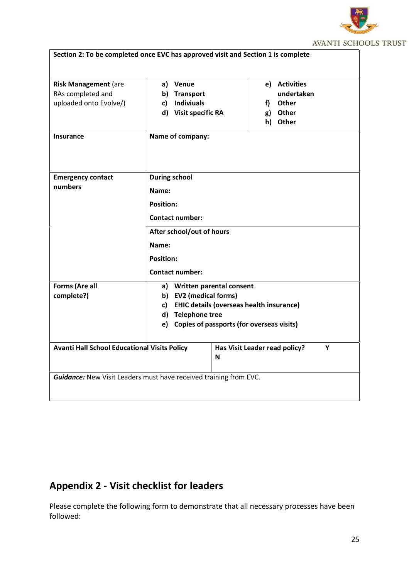

| RAs completed and<br>uploaded onto Evolve/)         | b) Transport<br><b>Indiviuals</b> | undertaken                                   |  |
|-----------------------------------------------------|-----------------------------------|----------------------------------------------|--|
|                                                     |                                   |                                              |  |
|                                                     | c)                                | f) Other                                     |  |
|                                                     | d) Visit specific RA              | g) Other                                     |  |
|                                                     |                                   | h) Other                                     |  |
| <b>Insurance</b>                                    | Name of company:                  |                                              |  |
| <b>Emergency contact</b>                            | <b>During school</b>              |                                              |  |
| numbers                                             |                                   |                                              |  |
|                                                     | Name:                             |                                              |  |
|                                                     | <b>Position:</b>                  |                                              |  |
|                                                     | <b>Contact number:</b>            |                                              |  |
|                                                     | After school/out of hours         |                                              |  |
|                                                     | Name:                             |                                              |  |
|                                                     | <b>Position:</b>                  |                                              |  |
|                                                     | <b>Contact number:</b>            |                                              |  |
| Forms (Are all                                      | a) Written parental consent       |                                              |  |
| complete?)                                          | b) EV2 (medical forms)            |                                              |  |
|                                                     |                                   | c) EHIC details (overseas health insurance)  |  |
|                                                     | d) Telephone tree                 |                                              |  |
|                                                     |                                   | e) Copies of passports (for overseas visits) |  |
| <b>Avanti Hall School Educational Visits Policy</b> |                                   | Has Visit Leader read policy?<br>Υ<br>N      |  |

# **Appendix 2 - Visit checklist for leaders**

Please complete the following form to demonstrate that all necessary processes have been followed: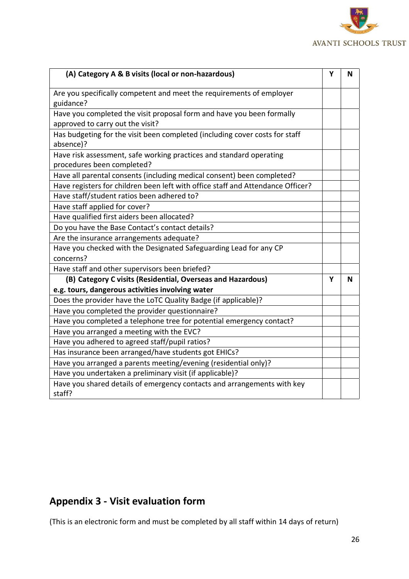

| (A) Category A & B visits (local or non-hazardous)                              | Υ | N |
|---------------------------------------------------------------------------------|---|---|
| Are you specifically competent and meet the requirements of employer            |   |   |
| guidance?                                                                       |   |   |
| Have you completed the visit proposal form and have you been formally           |   |   |
| approved to carry out the visit?                                                |   |   |
| Has budgeting for the visit been completed (including cover costs for staff     |   |   |
| absence)?                                                                       |   |   |
| Have risk assessment, safe working practices and standard operating             |   |   |
| procedures been completed?                                                      |   |   |
| Have all parental consents (including medical consent) been completed?          |   |   |
| Have registers for children been left with office staff and Attendance Officer? |   |   |
| Have staff/student ratios been adhered to?                                      |   |   |
| Have staff applied for cover?                                                   |   |   |
| Have qualified first aiders been allocated?                                     |   |   |
| Do you have the Base Contact's contact details?                                 |   |   |
| Are the insurance arrangements adequate?                                        |   |   |
| Have you checked with the Designated Safeguarding Lead for any CP               |   |   |
| concerns?                                                                       |   |   |
| Have staff and other supervisors been briefed?                                  |   |   |
| (B) Category C visits (Residential, Overseas and Hazardous)                     | Υ | N |
| e.g. tours, dangerous activities involving water                                |   |   |
| Does the provider have the LoTC Quality Badge (if applicable)?                  |   |   |
| Have you completed the provider questionnaire?                                  |   |   |
| Have you completed a telephone tree for potential emergency contact?            |   |   |
| Have you arranged a meeting with the EVC?                                       |   |   |
| Have you adhered to agreed staff/pupil ratios?                                  |   |   |
| Has insurance been arranged/have students got EHICs?                            |   |   |
| Have you arranged a parents meeting/evening (residential only)?                 |   |   |
| Have you undertaken a preliminary visit (if applicable)?                        |   |   |
| Have you shared details of emergency contacts and arrangements with key         |   |   |
| staff?                                                                          |   |   |

# **Appendix 3 - Visit evaluation form**

(This is an electronic form and must be completed by all staff within 14 days of return)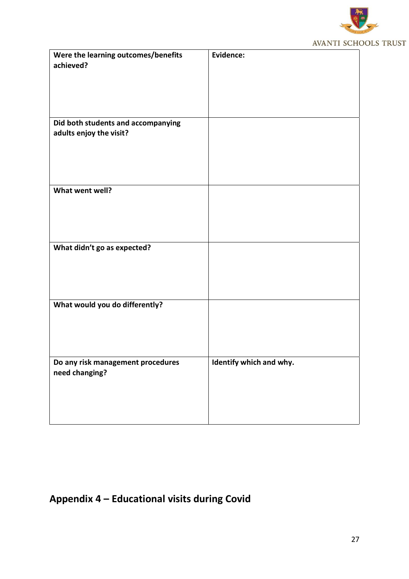

| Were the learning outcomes/benefits<br>achieved? | Evidence:               |
|--------------------------------------------------|-------------------------|
|                                                  |                         |
| Did both students and accompanying               |                         |
| adults enjoy the visit?                          |                         |
|                                                  |                         |
|                                                  |                         |
|                                                  |                         |
|                                                  |                         |
|                                                  |                         |
|                                                  |                         |
|                                                  |                         |
| What went well?                                  |                         |
|                                                  |                         |
|                                                  |                         |
|                                                  |                         |
|                                                  |                         |
|                                                  |                         |
|                                                  |                         |
| What didn't go as expected?                      |                         |
|                                                  |                         |
|                                                  |                         |
|                                                  |                         |
|                                                  |                         |
|                                                  |                         |
|                                                  |                         |
| What would you do differently?                   |                         |
|                                                  |                         |
|                                                  |                         |
|                                                  |                         |
|                                                  |                         |
|                                                  |                         |
|                                                  |                         |
| Do any risk management procedures                | Identify which and why. |
|                                                  |                         |
| need changing?                                   |                         |
|                                                  |                         |
|                                                  |                         |
|                                                  |                         |
|                                                  |                         |
|                                                  |                         |
|                                                  |                         |

# **Appendix 4 – Educational visits during Covid**